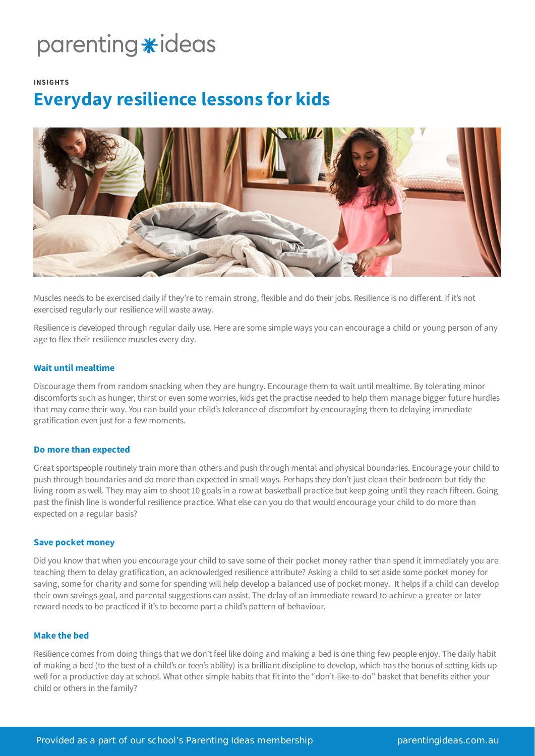## parenting \*ideas

#### **INSIGHTS**

### **Everyday resilience lessons for kids**



Muscles needs to be exercised daily if they're to remain strong, flexible and do their jobs. Resilience is no different. If it's not exercised regularly our resilience will waste away.

Resilience is developed through regular daily use. Here are some simple ways you can encourage a child or young person of any age to flex their resilience muscles every day.

#### **Wait until mealtime**

Discourage them from random snacking when they are hungry. Encourage them to wait until mealtime. By tolerating minor discomforts such as hunger, thirst or even some worries, kids get the practise needed to help them manage bigger future hurdles that may come their way. You can build your child's tolerance of discomfort by encouraging them to delaying immediate gratification even just for a few moments.

#### **Do more than expected**

Great sportspeople routinely train more than others and push through mental and physical boundaries. Encourage your child to push through boundaries and do more than expected in small ways. Perhaps they don't just clean their bedroom but tidy the living room as well. They may aim to shoot 10 goals in a row at basketball practice but keep going until they reach fifteen. Going past the finish line is wonderful resilience practice. What else can you do that would encourage your child to do more than expected on a regular basis?

#### **Save pocket money**

Did you know that when you encourage your child to save some of their pocket money rather than spend it immediately you are teaching them to delay gratification, an acknowledged resilience attribute? Asking a child to set aside some pocket money for saving, some for charity and some for spending will help develop a balanced use of pocket money. It helps if a child can develop their own savings goal, and parental suggestions can assist. The delay of an immediate reward to achieve a greater or later reward needs to be practiced if it's to become part a child's pattern of behaviour.

#### **Make the bed**

Resilience comes from doing things that we don't feel like doing and making a bed is one thing few people enjoy. The daily habit of making a bed (to the best of a child's or teen's ability) is a brilliant discipline to develop, which has the bonus of setting kids up well for a productive day at school. What other simple habits that fit into the "don't-like-to-do" basket that benefits either your child or others in the family?